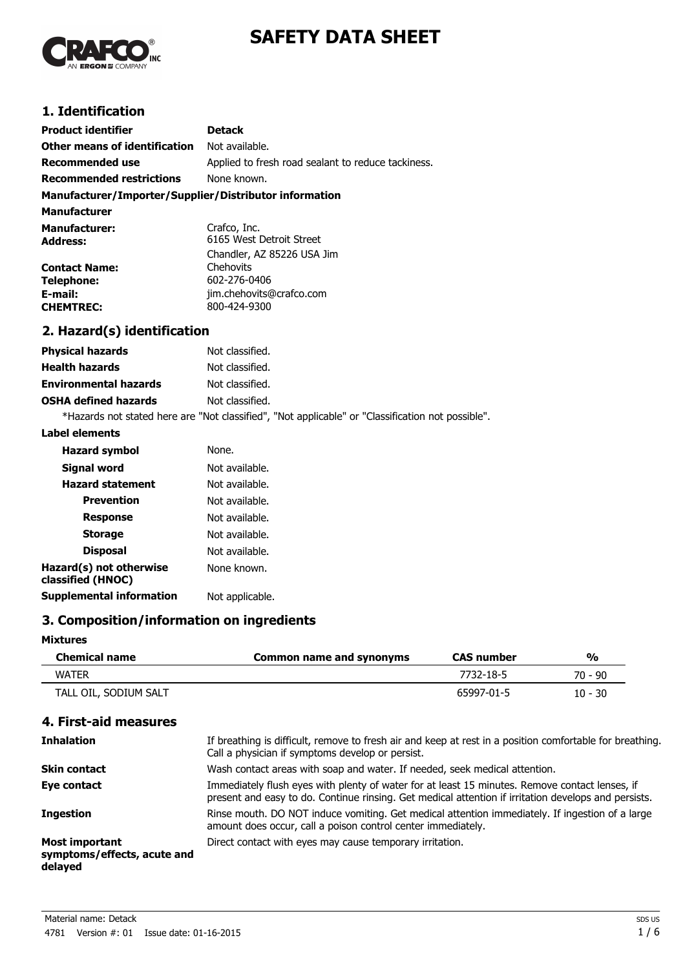

# **SAFETY DATA SHEET**

## **1. Identification**

| <b>Product identifier</b>                              | <b>Detack</b>                                      |  |
|--------------------------------------------------------|----------------------------------------------------|--|
| <b>Other means of identification</b>                   | Not available.                                     |  |
| Recommended use                                        | Applied to fresh road sealant to reduce tackiness. |  |
| <b>Recommended restrictions</b>                        | None known.                                        |  |
| Manufacturer/Importer/Supplier/Distributor information |                                                    |  |

| <b>Manufacturer</b>                     |                                          |
|-----------------------------------------|------------------------------------------|
| <b>Manufacturer:</b><br><b>Address:</b> | Crafco, Inc.<br>6165 West Detroit Street |
|                                         | Chandler, AZ 85226 USA Jim               |
| <b>Contact Name:</b>                    | Chehovits                                |
| <b>Telephone:</b>                       | 602-276-0406                             |
| E-mail:                                 | jim.chehovits@crafco.com                 |
| <b>CHEMTREC:</b>                        | 800-424-9300                             |

## **2. Hazard(s) identification**

| <b>Physical hazards</b>      | Not classified. |
|------------------------------|-----------------|
| <b>Health hazards</b>        | Not classified. |
| <b>Environmental hazards</b> | Not classified. |
| <b>OSHA defined hazards</b>  | Not classified. |
|                              |                 |

\*Hazards not stated here are "Not classified", "Not applicable" or "Classification not possible".

#### **Label elements**

| <b>Hazard symbol</b>                         | None.           |
|----------------------------------------------|-----------------|
| Signal word                                  | Not available.  |
| <b>Hazard statement</b>                      | Not available.  |
| <b>Prevention</b>                            | Not available.  |
| <b>Response</b>                              | Not available.  |
| <b>Storage</b>                               | Not available.  |
| <b>Disposal</b>                              | Not available.  |
| Hazard(s) not otherwise<br>classified (HNOC) | None known.     |
| <b>Supplemental information</b>              | Not applicable. |

#### **3. Composition/information on ingredients**

#### **Mixtures**

| <b>Chemical name</b>  | Common name and synonyms | <b>CAS</b> number | %         |
|-----------------------|--------------------------|-------------------|-----------|
| <b>WATFR</b>          |                          | 7732-18-5         | 70 - 90   |
| TALL OIL, SODIUM SALT |                          | 65997-01-5        | $10 - 30$ |

## **4. First-aid measures**

| <b>Inhalation</b>                                               | If breathing is difficult, remove to fresh air and keep at rest in a position comfortable for breathing.<br>Call a physician if symptoms develop or persist.                                           |
|-----------------------------------------------------------------|--------------------------------------------------------------------------------------------------------------------------------------------------------------------------------------------------------|
| <b>Skin contact</b>                                             | Wash contact areas with soap and water. If needed, seek medical attention.                                                                                                                             |
| Eye contact                                                     | Immediately flush eyes with plenty of water for at least 15 minutes. Remove contact lenses, if<br>present and easy to do. Continue rinsing. Get medical attention if irritation develops and persists. |
| <b>Ingestion</b>                                                | Rinse mouth. DO NOT induce vomiting. Get medical attention immediately. If ingestion of a large<br>amount does occur, call a poison control center immediately.                                        |
| <b>Most important</b><br>symptoms/effects, acute and<br>delayed | Direct contact with eyes may cause temporary irritation.                                                                                                                                               |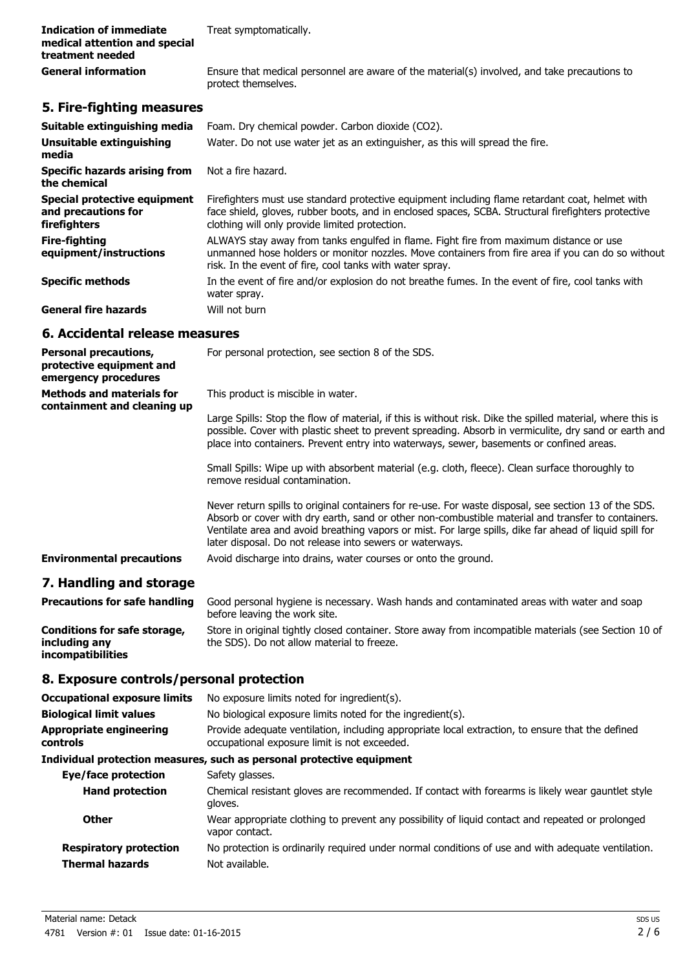| Indication of immediate       | Treat symptomatically. |  |
|-------------------------------|------------------------|--|
| medical attention and special |                        |  |
| treatment needed              |                        |  |
| __<br>.                       |                        |  |

General information **Ensure that medical personnel are aware of the material(s) involved, and take precautions to** protect themselves.

# **5. Fire-fighting measures**

| Suitable extinguishing media                                        | Foam. Dry chemical powder. Carbon dioxide (CO2).                                                                                                                                                                                                         |
|---------------------------------------------------------------------|----------------------------------------------------------------------------------------------------------------------------------------------------------------------------------------------------------------------------------------------------------|
| Unsuitable extinguishing<br>media                                   | Water. Do not use water jet as an extinguisher, as this will spread the fire.                                                                                                                                                                            |
| <b>Specific hazards arising from</b><br>the chemical                | Not a fire hazard.                                                                                                                                                                                                                                       |
| Special protective equipment<br>and precautions for<br>firefighters | Firefighters must use standard protective equipment including flame retardant coat, helmet with<br>face shield, gloves, rubber boots, and in enclosed spaces, SCBA. Structural firefighters protective<br>clothing will only provide limited protection. |
| <b>Fire-fighting</b><br>equipment/instructions                      | ALWAYS stay away from tanks engulfed in flame. Fight fire from maximum distance or use<br>unmanned hose holders or monitor nozzles. Move containers from fire area if you can do so without<br>risk. In the event of fire, cool tanks with water spray.  |
| <b>Specific methods</b>                                             | In the event of fire and/or explosion do not breathe fumes. In the event of fire, cool tanks with<br>water spray.                                                                                                                                        |
| <b>General fire hazards</b>                                         | Will not burn                                                                                                                                                                                                                                            |

#### **6. Accidental release measures**

| <b>Personal precautions,</b><br>protective equipment and<br>emergency procedures | For personal protection, see section 8 of the SDS.                                                                                                                                                                                                                                                                                                                                 |
|----------------------------------------------------------------------------------|------------------------------------------------------------------------------------------------------------------------------------------------------------------------------------------------------------------------------------------------------------------------------------------------------------------------------------------------------------------------------------|
| <b>Methods and materials for</b><br>containment and cleaning up                  | This product is miscible in water.                                                                                                                                                                                                                                                                                                                                                 |
|                                                                                  | Large Spills: Stop the flow of material, if this is without risk. Dike the spilled material, where this is<br>possible. Cover with plastic sheet to prevent spreading. Absorb in vermiculite, dry sand or earth and<br>place into containers. Prevent entry into waterways, sewer, basements or confined areas.                                                                    |
|                                                                                  | Small Spills: Wipe up with absorbent material (e.g. cloth, fleece). Clean surface thoroughly to<br>remove residual contamination.                                                                                                                                                                                                                                                  |
|                                                                                  | Never return spills to original containers for re-use. For waste disposal, see section 13 of the SDS.<br>Absorb or cover with dry earth, sand or other non-combustible material and transfer to containers.<br>Ventilate area and avoid breathing vapors or mist. For large spills, dike far ahead of liquid spill for<br>later disposal. Do not release into sewers or waterways. |
| <b>Environmental precautions</b>                                                 | Avoid discharge into drains, water courses or onto the ground.                                                                                                                                                                                                                                                                                                                     |
|                                                                                  |                                                                                                                                                                                                                                                                                                                                                                                    |

#### **7. Handling and storage**

**incompatibilities**

| <b>Precautions for safe handling</b> | Good personal hygiene is necessary. Wash hands and contaminated areas with water and soap<br>before leaving the work site. |
|--------------------------------------|----------------------------------------------------------------------------------------------------------------------------|
| Conditions for safe storage,         | Store in original tightly closed container. Store away from incompatible materials (see Section 10 of                      |
| including any                        | the SDS). Do not allow material to freeze.                                                                                 |

#### **8. Exposure controls/personal protection**

| <b>Occupational exposure limits</b>               | No exposure limits noted for ingredient(s).                                                                                                      |  |
|---------------------------------------------------|--------------------------------------------------------------------------------------------------------------------------------------------------|--|
| <b>Biological limit values</b>                    | No biological exposure limits noted for the ingredient(s).                                                                                       |  |
| <b>Appropriate engineering</b><br><b>controls</b> | Provide adequate ventilation, including appropriate local extraction, to ensure that the defined<br>occupational exposure limit is not exceeded. |  |
|                                                   | Individual protection measures, such as personal protective equipment                                                                            |  |
| Eye/face protection                               | Safety glasses.                                                                                                                                  |  |
| <b>Hand protection</b>                            | Chemical resistant gloves are recommended. If contact with forearms is likely wear gauntlet style<br>gloves.                                     |  |
| <b>Other</b>                                      | Wear appropriate clothing to prevent any possibility of liquid contact and repeated or prolonged<br>vapor contact.                               |  |

| <b>Respiratory protection</b> | No protection is ordinarily required under normal conditions of use and with adequate ventilation. |
|-------------------------------|----------------------------------------------------------------------------------------------------|
| Thermal hazards               | Not available.                                                                                     |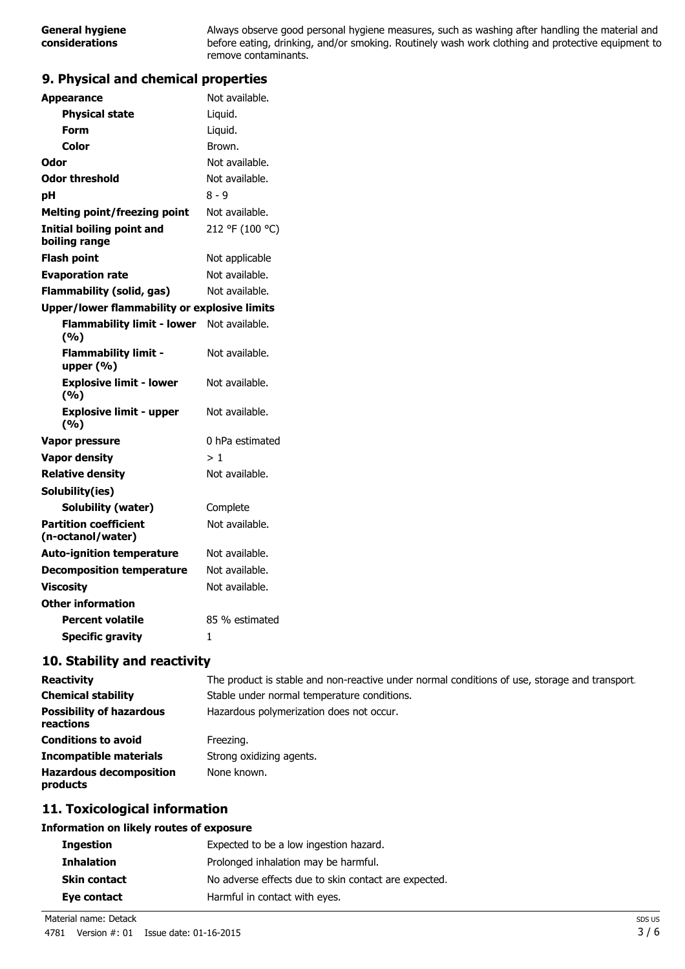Always observe good personal hygiene measures, such as washing after handling the material and before eating, drinking, and/or smoking. Routinely wash work clothing and protective equipment to remove contaminants.

### **9. Physical and chemical properties**

| <b>Appearance</b>                                 | Not available.  |
|---------------------------------------------------|-----------------|
| <b>Physical state</b>                             | Liquid.         |
| <b>Form</b>                                       | Liquid.         |
| <b>Color</b>                                      | Brown.          |
| Odor                                              | Not available.  |
| <b>Odor threshold</b>                             | Not available.  |
| pH                                                | $8 - 9$         |
| <b>Melting point/freezing point</b>               | Not available.  |
| <b>Initial boiling point and</b><br>boiling range | 212 °F (100 °C) |
| <b>Flash point</b>                                | Not applicable  |
| <b>Evaporation rate</b>                           | Not available.  |
| <b>Flammability (solid, gas)</b>                  | Not available.  |
| Upper/lower flammability or explosive limits      |                 |
| Flammability limit - lower Not available.<br>(%)  |                 |
| <b>Flammability limit -</b><br>upper $(% )$       | Not available.  |
| <b>Explosive limit - lower</b><br>(9/6)           | Not available.  |
| <b>Explosive limit - upper</b><br>(%)             | Not available.  |
| Vapor pressure                                    | 0 hPa estimated |
| <b>Vapor density</b>                              | >1              |
| <b>Relative density</b>                           | Not available.  |
| Solubility(ies)                                   |                 |
| <b>Solubility (water)</b>                         | Complete        |
| <b>Partition coefficient</b><br>(n-octanol/water) | Not available.  |
| <b>Auto-ignition temperature</b>                  | Not available.  |
| <b>Decomposition temperature</b>                  | Not available.  |
| <b>Viscosity</b>                                  | Not available.  |
| <b>Other information</b>                          |                 |
| <b>Percent volatile</b>                           | 85 % estimated  |
| <b>Specific gravity</b>                           | 1               |
|                                                   |                 |

#### **10. Stability and reactivity**

| <b>Reactivity</b>                            | The product is stable and non-reactive under normal conditions of use, storage and transport. |
|----------------------------------------------|-----------------------------------------------------------------------------------------------|
| <b>Chemical stability</b>                    | Stable under normal temperature conditions.                                                   |
| <b>Possibility of hazardous</b><br>reactions | Hazardous polymerization does not occur.                                                      |
| <b>Conditions to avoid</b>                   | Freezing.                                                                                     |
| <b>Incompatible materials</b>                | Strong oxidizing agents.                                                                      |
| <b>Hazardous decomposition</b><br>products   | None known.                                                                                   |

#### **11. Toxicological information**

#### **Information on likely routes of exposure**

| <b>Ingestion</b>    | Expected to be a low ingestion hazard.               |
|---------------------|------------------------------------------------------|
| <b>Inhalation</b>   | Prolonged inhalation may be harmful.                 |
| <b>Skin contact</b> | No adverse effects due to skin contact are expected. |
| Eye contact         | Harmful in contact with eyes.                        |

Material name: Detack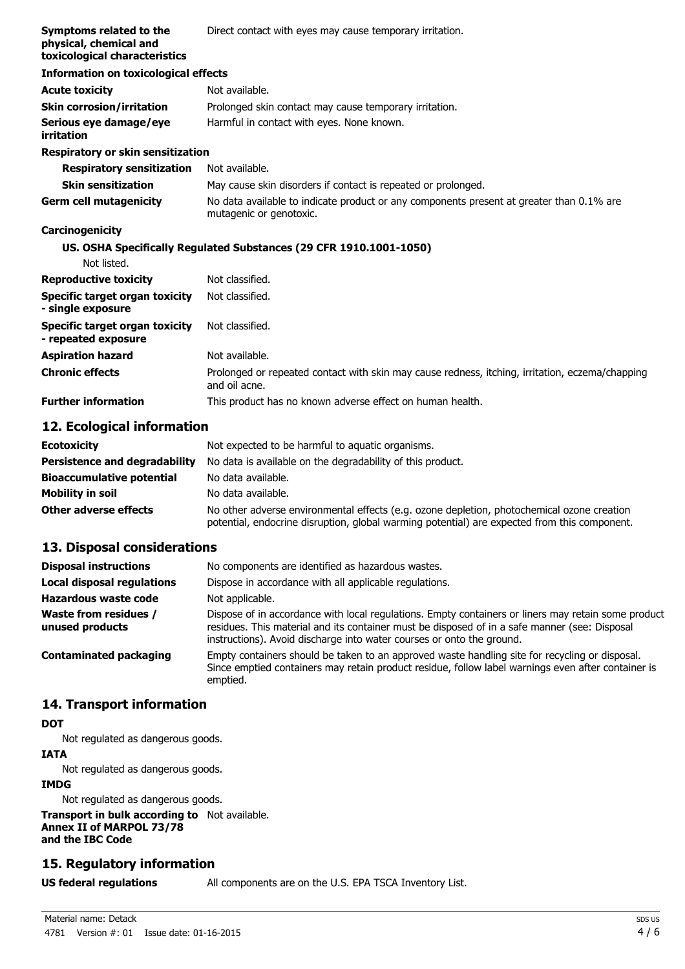| Symptoms related to the<br>physical, chemical and<br>toxicological characteristics | Direct contact with eyes may cause temporary irritation.                                                            |
|------------------------------------------------------------------------------------|---------------------------------------------------------------------------------------------------------------------|
| <b>Information on toxicological effects</b>                                        |                                                                                                                     |
| <b>Acute toxicity</b>                                                              | Not available.                                                                                                      |
| <b>Skin corrosion/irritation</b>                                                   | Prolonged skin contact may cause temporary irritation.                                                              |
| Serious eye damage/eye<br>irritation                                               | Harmful in contact with eyes. None known.                                                                           |
| <b>Respiratory or skin sensitization</b>                                           |                                                                                                                     |
| <b>Respiratory sensitization</b>                                                   | Not available.                                                                                                      |
| <b>Skin sensitization</b>                                                          | May cause skin disorders if contact is repeated or prolonged.                                                       |
| <b>Germ cell mutagenicity</b>                                                      | No data available to indicate product or any components present at greater than 0.1% are<br>mutagenic or genotoxic. |
| <b>Carcinogenicity</b>                                                             |                                                                                                                     |
|                                                                                    | US. OSHA Specifically Regulated Substances (29 CFR 1910.1001-1050)                                                  |
| Not listed.                                                                        |                                                                                                                     |
| <b>Reproductive toxicity</b>                                                       | Not classified.                                                                                                     |
| Specific target organ toxicity<br>- single exposure                                | Not classified.                                                                                                     |
| Specific target organ toxicity<br>- repeated exposure                              | Not classified.                                                                                                     |
| <b>Aspiration hazard</b>                                                           | Not available.                                                                                                      |
| <b>Chronic effects</b>                                                             | Prolonged or repeated contact with skin may cause redness, itching, irritation, eczema/chapping<br>and oil acne.    |
| <b>Further information</b>                                                         | This product has no known adverse effect on human health.                                                           |

#### **12. Ecological information**

| <b>Ecotoxicity</b>                   | Not expected to be harmful to aquatic organisms.                                                                                                                                           |
|--------------------------------------|--------------------------------------------------------------------------------------------------------------------------------------------------------------------------------------------|
| <b>Persistence and degradability</b> | No data is available on the degradability of this product.                                                                                                                                 |
| <b>Bioaccumulative potential</b>     | No data available.                                                                                                                                                                         |
| Mobility in soil                     | No data available.                                                                                                                                                                         |
| Other adverse effects                | No other adverse environmental effects (e.g. ozone depletion, photochemical ozone creation<br>potential, endocrine disruption, global warming potential) are expected from this component. |

#### **13. Disposal considerations**

| <b>Disposal instructions</b>                    | No components are identified as hazardous wastes.                                                                                                                                                                                                                             |
|-------------------------------------------------|-------------------------------------------------------------------------------------------------------------------------------------------------------------------------------------------------------------------------------------------------------------------------------|
| <b>Local disposal regulations</b>               | Dispose in accordance with all applicable regulations.                                                                                                                                                                                                                        |
| <b>Hazardous waste code</b>                     | Not applicable.                                                                                                                                                                                                                                                               |
| <b>Waste from residues /</b><br>unused products | Dispose of in accordance with local regulations. Empty containers or liners may retain some product<br>residues. This material and its container must be disposed of in a safe manner (see: Disposal<br>instructions). Avoid discharge into water courses or onto the ground. |
| <b>Contaminated packaging</b>                   | Empty containers should be taken to an approved waste handling site for recycling or disposal.<br>Since emptied containers may retain product residue, follow label warnings even after container is<br>emptied.                                                              |

### **14. Transport information**

## **DOT**

Not regulated as dangerous goods.

#### **IATA**

Not regulated as dangerous goods.

#### **IMDG**

Not regulated as dangerous goods.

**Transport in bulk according to** Not available. **Annex II of MARPOL 73/78 and the IBC Code**

# **15. Regulatory information**

**US federal regulations** All components are on the U.S. EPA TSCA Inventory List.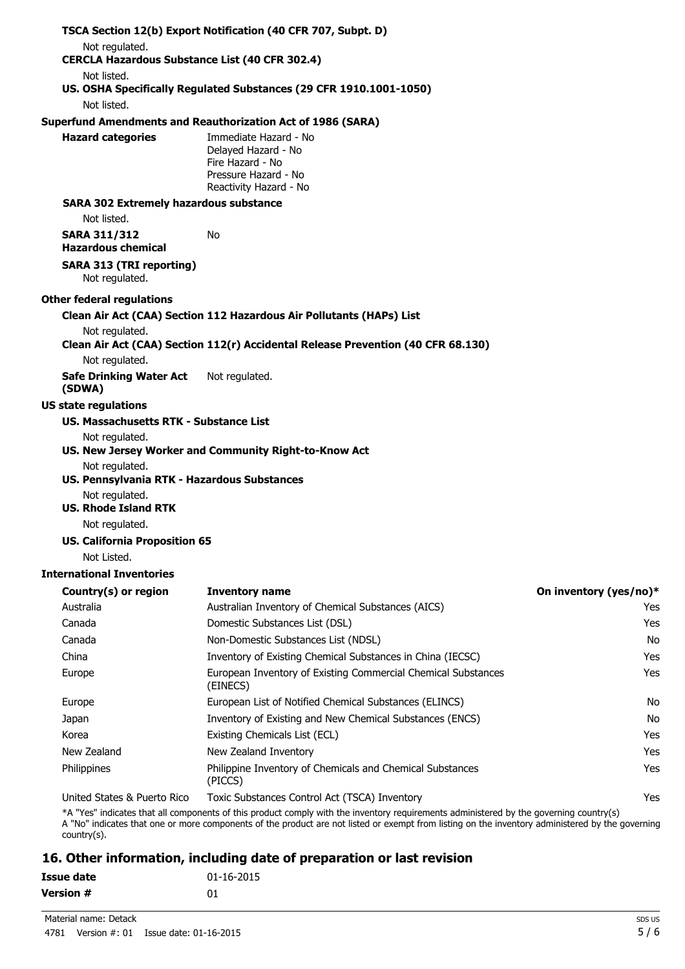|                                                                         | TSCA Section 12(b) Export Notification (40 CFR 707, Subpt. D)                                                                                                                           |                        |
|-------------------------------------------------------------------------|-----------------------------------------------------------------------------------------------------------------------------------------------------------------------------------------|------------------------|
| Not regulated.<br><b>CERCLA Hazardous Substance List (40 CFR 302.4)</b> |                                                                                                                                                                                         |                        |
| Not listed.                                                             |                                                                                                                                                                                         |                        |
|                                                                         | US. OSHA Specifically Regulated Substances (29 CFR 1910.1001-1050)                                                                                                                      |                        |
| Not listed.                                                             |                                                                                                                                                                                         |                        |
|                                                                         | <b>Superfund Amendments and Reauthorization Act of 1986 (SARA)</b>                                                                                                                      |                        |
| <b>Hazard categories</b>                                                | Immediate Hazard - No<br>Delayed Hazard - No<br>Fire Hazard - No<br>Pressure Hazard - No<br>Reactivity Hazard - No                                                                      |                        |
| <b>SARA 302 Extremely hazardous substance</b>                           |                                                                                                                                                                                         |                        |
| Not listed.                                                             |                                                                                                                                                                                         |                        |
| <b>SARA 311/312</b><br><b>Hazardous chemical</b>                        | No.                                                                                                                                                                                     |                        |
| <b>SARA 313 (TRI reporting)</b><br>Not regulated.                       |                                                                                                                                                                                         |                        |
| <b>Other federal regulations</b>                                        |                                                                                                                                                                                         |                        |
|                                                                         | Clean Air Act (CAA) Section 112 Hazardous Air Pollutants (HAPs) List                                                                                                                    |                        |
| Not regulated.                                                          | Clean Air Act (CAA) Section 112(r) Accidental Release Prevention (40 CFR 68.130)                                                                                                        |                        |
| Not regulated.                                                          |                                                                                                                                                                                         |                        |
| <b>Safe Drinking Water Act</b><br>(SDWA)                                | Not regulated.                                                                                                                                                                          |                        |
| <b>US state regulations</b>                                             |                                                                                                                                                                                         |                        |
| <b>US. Massachusetts RTK - Substance List</b>                           |                                                                                                                                                                                         |                        |
| Not regulated.                                                          | US. New Jersey Worker and Community Right-to-Know Act                                                                                                                                   |                        |
| Not regulated.<br>US. Pennsylvania RTK - Hazardous Substances           |                                                                                                                                                                                         |                        |
| Not regulated.<br><b>US. Rhode Island RTK</b>                           |                                                                                                                                                                                         |                        |
| Not regulated.                                                          |                                                                                                                                                                                         |                        |
| <b>US. California Proposition 65</b>                                    |                                                                                                                                                                                         |                        |
| Not Listed.                                                             |                                                                                                                                                                                         |                        |
| <b>International Inventories</b>                                        |                                                                                                                                                                                         |                        |
| Country(s) or region                                                    | <b>Inventory name</b>                                                                                                                                                                   | On inventory (yes/no)* |
| Australia                                                               | Australian Inventory of Chemical Substances (AICS)                                                                                                                                      | Yes                    |
| Canada                                                                  | Domestic Substances List (DSL)                                                                                                                                                          | Yes                    |
| Canada                                                                  | Non-Domestic Substances List (NDSL)                                                                                                                                                     | <b>No</b>              |
| China                                                                   | Inventory of Existing Chemical Substances in China (IECSC)                                                                                                                              | Yes                    |
| Europe                                                                  | European Inventory of Existing Commercial Chemical Substances<br>(EINECS)                                                                                                               | Yes                    |
| Europe                                                                  | European List of Notified Chemical Substances (ELINCS)                                                                                                                                  | No                     |
| Japan                                                                   | Inventory of Existing and New Chemical Substances (ENCS)                                                                                                                                | No                     |
| Korea                                                                   | Existing Chemicals List (ECL)                                                                                                                                                           | Yes                    |
| New Zealand                                                             | New Zealand Inventory                                                                                                                                                                   | Yes                    |
| Philippines                                                             | Philippine Inventory of Chemicals and Chemical Substances<br>(PICCS)                                                                                                                    | Yes                    |
| United States & Puerto Rico                                             | Toxic Substances Control Act (TSCA) Inventory<br>*A "Yes" indicates that all components of this product comply with the inventory requirements administered by the governing country(s) | Yes                    |

A "No" indicates that one or more components of the product are not listed or exempt from listing on the inventory administered by the governing country(s).

# **16. Other information, including date of preparation or last revision**

| Issue date       | $01 - 16 - 2015$ |
|------------------|------------------|
| <b>Version #</b> | 01               |